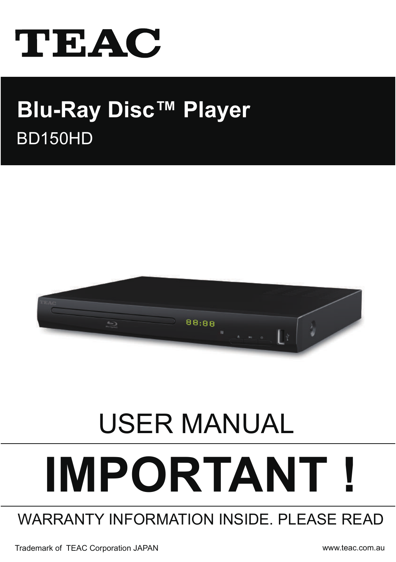

# BD150HD **Blu-Ray Disc™ Player**



# USER MANUAL **IMPORTANT !**

# WARRANTY INFORMATION INSIDE. PLEASE READ

Trademark of TEAC Corporation JAPAN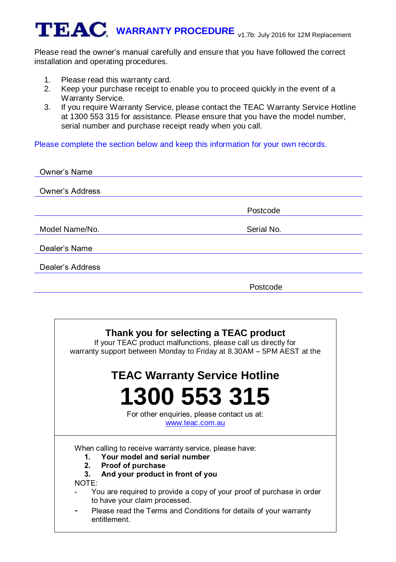Please read the owner's manual carefully and ensure that you have followed the correct installation and operating procedures.

- 1. Please read this warranty card.
- 2. Keep your purchase receipt to enable you to proceed quickly in the event of a Warranty Service.
- 3. If you require Warranty Service, please contact the TEAC Warranty Service Hotline at 1300 553 315 for assistance. Please ensure that you have the model number, serial number and purchase receipt ready when you call.

Please complete the section below and keep this information for your own records.

| Owner's Name     |            |
|------------------|------------|
|                  |            |
| Owner's Address  |            |
|                  |            |
|                  | Postcode   |
|                  |            |
| Model Name/No.   | Serial No. |
|                  |            |
| Dealer's Name    |            |
|                  |            |
| Dealer's Address |            |
|                  |            |
|                  | Postcode   |

# **Thank you for selecting a TEAC product**

If your TEAC product malfunctions, please call us directly for warranty support between Monday to Friday at 8.30AM – 5PM AEST at the

# **TEAC Warranty Service Hotline 1300 553 315**

For other enquiries, please contact us at: [www.teac.com.au](http://www.teac.com.au/) 

When calling to receive warranty service, please have:

- **1. Your model and serial number**
- **2. Proof of purchase**
- **3. And your product in front of you**

NOTE:

- You are required to provide a copy of your proof of purchase in order to have your claim processed.
- Please read the Terms and Conditions for details of your warranty entitlement.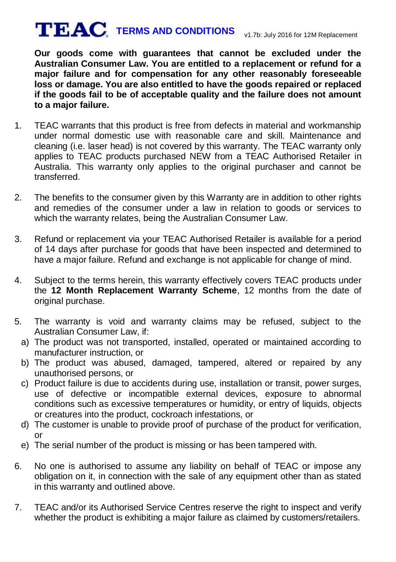# **TERMS AND CONDITIONS** v1.7b: July 2016 for 12M Replacement

**Our goods come with guarantees that cannot be excluded under the Australian Consumer Law. You are entitled to a replacement or refund for a major failure and for compensation for any other reasonably foreseeable loss or damage. You are also entitled to have the goods repaired or replaced if the goods fail to be of acceptable quality and the failure does not amount to a major failure.**

- 1. TEAC warrants that this product is free from defects in material and workmanship under normal domestic use with reasonable care and skill. Maintenance and cleaning (i.e. laser head) is not covered by this warranty. The TEAC warranty only applies to TEAC products purchased NEW from a TEAC Authorised Retailer in Australia. This warranty only applies to the original purchaser and cannot be transferred.
- 2. The benefits to the consumer given by this Warranty are in addition to other rights and remedies of the consumer under a law in relation to goods or services to which the warranty relates, being the Australian Consumer Law.
- 3. Refund or replacement via your TEAC Authorised Retailer is available for a period of 14 days after purchase for goods that have been inspected and determined to have a major failure. Refund and exchange is not applicable for change of mind.
- 4. Subject to the terms herein, this warranty effectively covers TEAC products under the **12 Month Replacement Warranty Scheme**, 12 months from the date of original purchase.
- 5. The warranty is void and warranty claims may be refused, subject to the Australian Consumer Law, if:
	- a) The product was not transported, installed, operated or maintained according to manufacturer instruction, or
	- b) The product was abused, damaged, tampered, altered or repaired by any unauthorised persons, or
	- c) Product failure is due to accidents during use, installation or transit, power surges, use of defective or incompatible external devices, exposure to abnormal conditions such as excessive temperatures or humidity, or entry of liquids, objects or creatures into the product, cockroach infestations, or
	- d) The customer is unable to provide proof of purchase of the product for verification, or
	- e) The serial number of the product is missing or has been tampered with.
- 6. No one is authorised to assume any liability on behalf of TEAC or impose any obligation on it, in connection with the sale of any equipment other than as stated in this warranty and outlined above.
- 7. TEAC and/or its Authorised Service Centres reserve the right to inspect and verify whether the product is exhibiting a major failure as claimed by customers/retailers.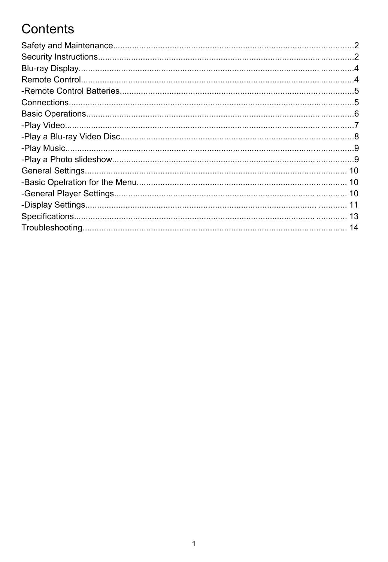# Contents

| 14 |
|----|
|    |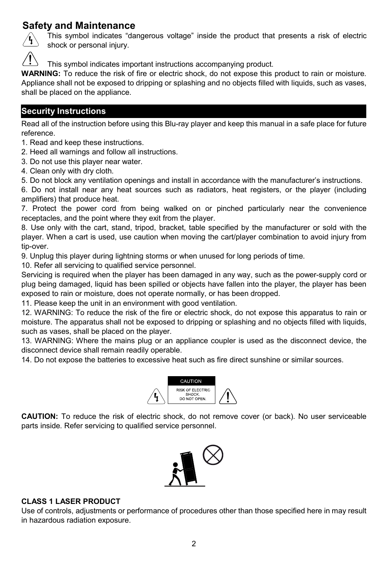# **Safety and Maintenance**



This symbol indicates "dangerous voltage" inside the product that presents a risk of electric shock or personal injury.

This symbol indicates important instructions accompanying product.

**WARNING:** To reduce the risk of fire or electric shock, do not expose this product to rain or moisture. Appliance shall not be exposed to dripping or splashing and no objects filled with liquids, such as vases, shall be placed on the appliance.

# **Security Instructions**

Read all of the instruction before using this Blu-ray player and keep this manual in a safe place for future reference.

1. Read and keep these instructions.

2. Heed all warnings and follow all instructions.

3. Do not use this player near water.

4. Clean only with dry cloth.

5. Do not block any ventilation openings and install in accordance with the manufacturer's instructions.

6. Do not install near any heat sources such as radiators, heat registers, or the player (including amplifiers) that produce heat.

7. Protect the power cord from being walked on or pinched particularly near the convenience receptacles, and the point where they exit from the player.

8. Use only with the cart, stand, tripod, bracket, table specified by the manufacturer or sold with the player. When a cart is used, use caution when moving the cart/player combination to avoid injury from tip-over.

9. Unplug this player during lightning storms or when unused for long periods of time.

10. Refer all servicing to qualified service personnel.

Servicing is required when the player has been damaged in any way, such as the power-supply cord or plug being damaged, liquid has been spilled or objects have fallen into the player, the player has been exposed to rain or moisture, does not operate normally, or has been dropped.

11. Please keep the unit in an environment with good ventilation.

12. WARNING: To reduce the risk of the fire or electric shock, do not expose this apparatus to rain or moisture. The apparatus shall not be exposed to dripping or splashing and no objects filled with liquids, such as vases, shall be placed on the player.

13. WARNING: Where the mains plug or an appliance coupler is used as the disconnect device, the disconnect device shall remain readily operable.

14. Do not expose the batteries to excessive heat such as fire direct sunshine or similar sources.



**CAUTION:** To reduce the risk of electric shock, do not remove cover (or back). No user serviceable parts inside. Refer servicing to qualified service personnel.



#### **CLASS 1 LASER PRODUCT**

Use of controls, adjustments or performance of procedures other than those specified here in may result in hazardous radiation exposure.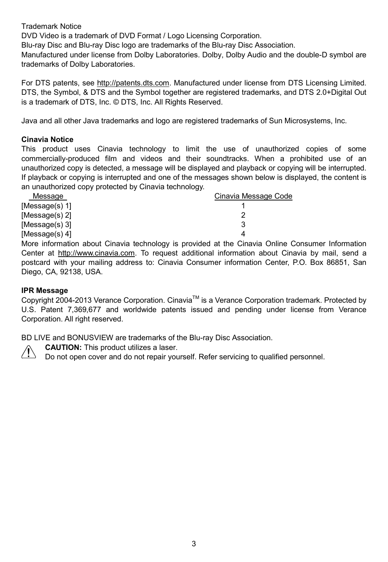Trademark Notice

DVD Video is a trademark of DVD Format / Logo Licensing Corporation.

Blu-ray Disc and Blu-ray Disc logo are trademarks of the Blu-ray Disc Association.

Manufactured under license from Dolby Laboratories. Dolby, Dolby Audio and the double-D symbol are trademarks of Dolby Laboratories.

For DTS patents, see http://patents.dts.com. Manufactured under license from DTS Licensing Limited. DTS, the Symbol, & DTS and the Symbol together are registered trademarks, and DTS 2.0+Digital Out is a trademark of DTS, Inc. © DTS, Inc. All Rights Reserved.

Java and all other Java trademarks and logo are registered trademarks of Sun Microsystems, Inc.

#### **Cinavia Notice**

This product uses Cinavia technology to limit the use of unauthorized copies of some commercially-produced film and videos and their soundtracks. When a prohibited use of an unauthorized copy is detected, a message will be displayed and playback or copying will be interrupted. If playback or copying is interrupted and one of the messages shown below is displayed, the content is an unauthorized copy protected by Cinavia technology.

| Message           | Cinavia Message Code |
|-------------------|----------------------|
| [Message(s) 1]    |                      |
| [Message(s) 2]    |                      |
| [Message(s) $3$ ] | 3                    |
| [Message(s) 4]    | 4                    |

More information about Cinavia technology is provided at the Cinavia Online Consumer Information Center at http://www.cinavia.com. To request additional information about Cinavia by mail, send a postcard with your mailing address to: Cinavia Consumer information Center, P.O. Box 86851, San Diego, CA, 92138, USA.

#### **IPR Message**

Copyright 2004-2013 Verance Corporation. Cinavia™ is a Verance Corporation trademark. Protected by U.S. Patent 7,369,677 and worldwide patents issued and pending under license from Verance Corporation. All right reserved.

BD LIVE and BONUSVIEW are trademarks of the Blu-ray Disc Association.

**CAUTION:** This product utilizes a laser.

Do not open cover and do not repair yourself. Refer servicing to qualified personnel.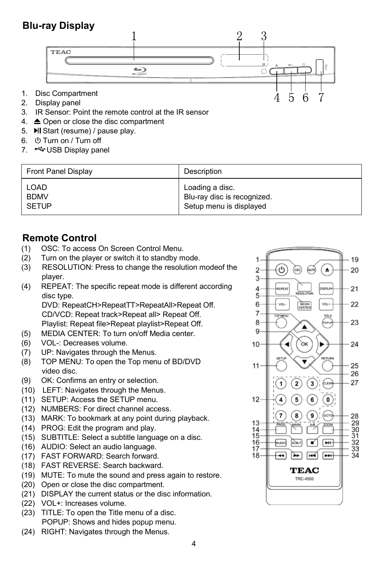# **Blu-ray Display**



- 2. Display panel
- 3. IR Sensor: Point the remote control at the IR sensor
- 4. Open or close the disc compartment
- 5. **MI** Start (resume) / pause play.
- 6.  $\bigcirc$  Turn on / Turn off
- 7. GUSB Display panel

| Front Panel Display | Description                 |
|---------------------|-----------------------------|
| LOAD                | Loading a disc.             |
| <b>BDMV</b>         | Blu-ray disc is recognized. |
| SETUP               | Setup menu is displayed     |

# **Remote Control**<br>(1) OSC: To access

- (1) OSC: To access On Screen Control Menu.
- (2) Turn on the player or switch it to standby mode.
- (3) RESOLUTION: Press to change the resolution modeof the player.
- (4) REPEAT: The specific repeat mode is different according disc type.

DVD: RepeatCH>RepeatTT>RepeatAll>Repeat Off. CD/VCD: Repeat track>Repeat all> Repeat Off. Playlist: Repeat file>Repeat playlist>Repeat Off.

- (5) MEDIA CENTER: To turn on/off Media center.
- (6) VOL-: Decreases volume.
- (7) UP: Navigates through the Menus.
- (8) TOP MENU: To open the Top menu of BD/DVD video disc.
- (9) OK: Confirms an entry or selection.
- (10) LEFT: Navigates through the Menus.
- (11) SETUP: Access the SETUP menu.
- (12) NUMBERS: For direct channel access.
- (13) MARK: To bookmark at any point during playback.
- (14) PROG: Edit the program and play.
- (15) SUBTITLE: Select a subtitle language on a disc.
- (16) AUDIO: Select an audio language.
- (17) FAST FORWARD: Search forward.
- (18) FAST REVERSE: Search backward.
- (19) MUTE: To mute the sound and press again to restore.
- (20) Open or close the disc compartment.
- (21) DISPLAY the current status or the disc information.
- (22) VOL+: Increases volume.
- (23) TITLE: To open the Title menu of a disc. POPUP: Shows and hides popup menu.
- (24) RIGHT: Navigates through the Menus.

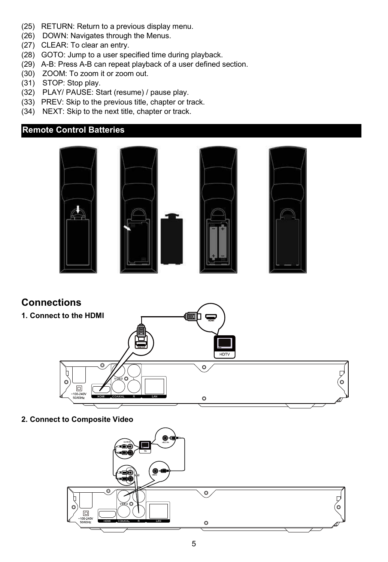- (25) RETURN: Return to a previous display menu.
- (26) DOWN: Navigates through the Menus.
- (27) CLEAR: To clear an entry.
- (28) GOTO: Jump to a user specified time during playback.
- (29) A-B: Press A-B can repeat playback of a user defined section.
- (30) ZOOM: To zoom it or zoom out.
- (31) STOP: Stop play.
- (32) PLAY/ PAUSE: Start (resume) / pause play.
- (33) PREV: Skip to the previous title, chapter or track.
- (34) NEXT: Skip to the next title, chapter or track.

## **Remote Control Batteries**





**2. Connect to Composite Video**

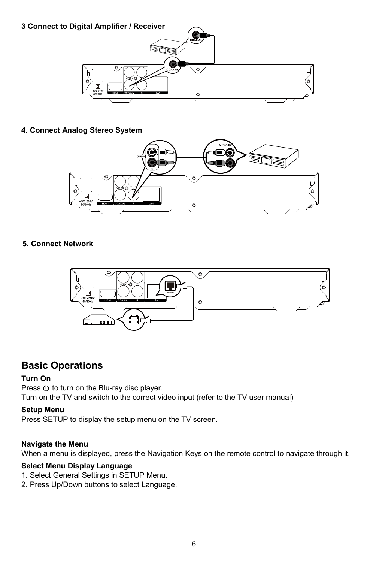

#### **4. Connect Analog Stereo System**



#### **5. Connect Network**



# **Basic Operations**

#### **Turn On**

Press  $\Phi$  to turn on the Blu-ray disc player. Turn on the TV and switch to the correct video input (refer to the TV user manual)

#### **Setup Menu**

Press SETUP to display the setup menu on the TV screen.

#### **Navigate the Menu**

When a menu is displayed, press the Navigation Keys on the remote control to navigate through it.

#### **Select Menu Display Language**

- 1. Select General Settings in SETUP Menu.
- 2. Press Up/Down buttons to select Language.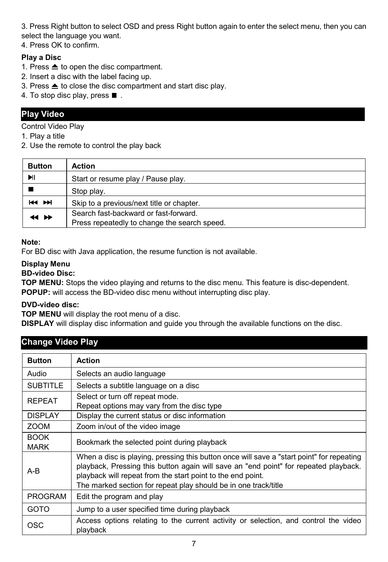3. Press Right button to select OSD and press Right button again to enter the select menu, then you can select the language you want.

4. Press OK to confirm.

#### **Play a Disc**

- 1. Press  $\triangleq$  to open the disc compartment.
- 2. Insert a disc with the label facing up.
- 3. Press  $\triangleq$  to close the disc compartment and start disc play.
- 4. To stop disc play, press  $\blacksquare$ .

# **Play Video**

Control Video Play

1. Play a title

2. Use the remote to control the play back

| <b>Button</b> | <b>Action</b>                                                                         |
|---------------|---------------------------------------------------------------------------------------|
| MI            | Start or resume play / Pause play.                                                    |
|               | Stop play.                                                                            |
| <b>H4 PH</b>  | Skip to a previous/next title or chapter.                                             |
| 14 DE         | Search fast-backward or fast-forward.<br>Press repeatedly to change the search speed. |

#### **Note:**

For BD disc with Java application, the resume function is not available.

#### **Display Menu**

#### **BD-video Disc:**

**TOP MENU:** Stops the video playing and returns to the disc menu. This feature is disc-dependent. **POPUP:** will access the BD-video disc menu without interrupting disc play.

#### **DVD-video disc:**

**TOP MENU** will display the root menu of a disc.

**DISPLAY** will display disc information and guide you through the available functions on the disc.

# **Change Video Play**

| <b>Button</b>              | <b>Action</b>                                                                                                                                                                                                                                                                                                       |
|----------------------------|---------------------------------------------------------------------------------------------------------------------------------------------------------------------------------------------------------------------------------------------------------------------------------------------------------------------|
| Audio                      | Selects an audio language                                                                                                                                                                                                                                                                                           |
| <b>SUBTITLE</b>            | Selects a subtitle language on a disc                                                                                                                                                                                                                                                                               |
| <b>REPEAT</b>              | Select or turn off repeat mode.<br>Repeat options may vary from the disc type                                                                                                                                                                                                                                       |
| <b>DISPLAY</b>             | Display the current status or disc information                                                                                                                                                                                                                                                                      |
| <b>ZOOM</b>                | Zoom in/out of the video image                                                                                                                                                                                                                                                                                      |
| <b>BOOK</b><br><b>MARK</b> | Bookmark the selected point during playback                                                                                                                                                                                                                                                                         |
| $A-B$                      | When a disc is playing, pressing this button once will save a "start point" for repeating<br>playback. Pressing this button again will save an "end point" for repeated playback.<br>playback will repeat from the start point to the end point.<br>The marked section for repeat play should be in one track/title |
| PROGRAM                    | Edit the program and play                                                                                                                                                                                                                                                                                           |
| GOTO                       | Jump to a user specified time during playback                                                                                                                                                                                                                                                                       |
| OSC                        | Access options relating to the current activity or selection, and control the video<br>playback                                                                                                                                                                                                                     |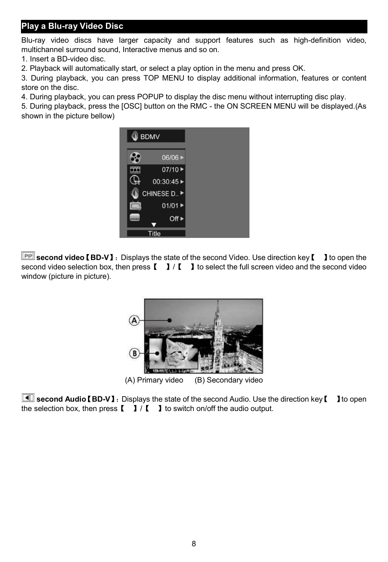# **Play a Blu-ray Video Disc**

Blu-ray video discs have larger capacity and support features such as high-definition video, multichannel surround sound, Interactive menus and so on.

1. Insert a BD-video disc.

2. Playback will automatically start, or select a play option in the menu and press OK.

3. During playback, you can press TOP MENU to display additional information, features or content store on the disc.

4. During playback, you can press POPUP to display the disc menu without interrupting disc play.

5. During playback, press the [OSC] button on the RMC - the ON SCREEN MENU will be displayed.(As shown in the picture bellow)



**second video**【**BD-V**】:Displays the state of the second Video. Use direction key【 】to open the second video selection box, then press  $\begin{bmatrix} 1 \\ 1 \end{bmatrix}$  to select the full screen video and the second video window (picture in picture).



 **second Audio**【**BD-V**】:Displays the state of the second Audio. Use the direction key【 】to open the selection box, then press  $\begin{bmatrix} 1 \\ 1 \end{bmatrix}$  to switch on/off the audio output.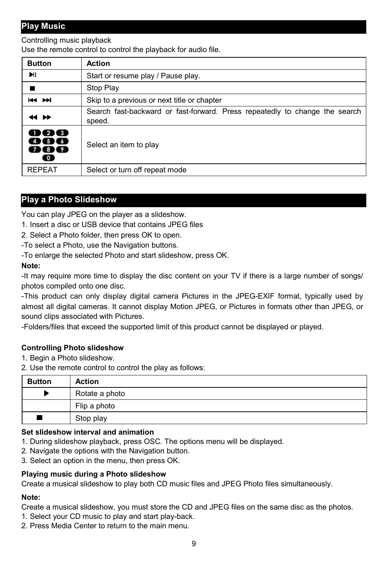# **Play Music**

Controlling music playback

Use the remote control to control the playback for audio file.

| <b>Button</b>                       | <b>Action</b>                                                                         |
|-------------------------------------|---------------------------------------------------------------------------------------|
| ыı                                  | Start or resume play / Pause play.                                                    |
|                                     | Stop Play                                                                             |
| <b>H4 PH</b>                        | Skip to a previous or next title or chapter                                           |
| 44 H                                | Search fast-backward or fast-forward. Press repeatedly to change the search<br>speed. |
| 1123<br>15 B<br>789<br>$\bf\bullet$ | Select an item to play                                                                |
| <b>REPEAT</b>                       | Select or turn off repeat mode                                                        |

# **Play a Photo Slideshow**

You can play JPEG on the player as a slideshow.

- 1. Insert a disc or USB device that contains JPEG files
- 2. Select a Photo folder, then press OK to open.
- -To select a Photo, use the Navigation buttons.

-To enlarge the selected Photo and start slideshow, press OK.

#### **Note:**

-It may require more time to display the disc content on your TV if there is a large number of songs/ photos compiled onto one disc.

-This product can only display digital camera Pictures in the JPEG-EXIF format, typically used by almost all digital cameras. It cannot display Motion JPEG, or Pictures in formats other than JPEG, or sound clips associated with Pictures.

-Folders/files that exceed the supported limit of this product cannot be displayed or played.

#### **Controlling Photo slideshow**

1. Begin a Photo slideshow.

2. Use the remote control to control the play as follows:

| <b>Button</b> | <b>Action</b>  |
|---------------|----------------|
|               | Rotate a photo |
|               | Flip a photo   |
|               | Stop play      |

#### **Set slideshow interval and animation**

- 1. During slideshow playback, press OSC. The options menu will be displayed.
- 2. Navigate the options with the Navigation button.
- 3. Select an option in the menu, then press OK.

#### **Playing music during a Photo slideshow**

Create a musical slideshow to play both CD music files and JPEG Photo files simultaneously.

#### **Note:**

Create a musical slideshow, you must store the CD and JPEG files on the same disc as the photos.

- 1. Select your CD music to play and start play-back.
- 2. Press Media Center to return to the main menu.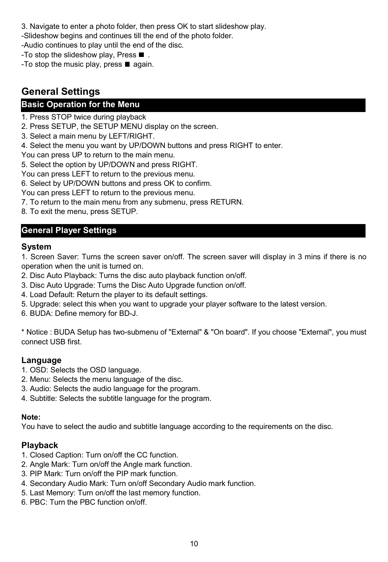- 3. Navigate to enter a photo folder, then press OK to start slideshow play.
- -Slideshow begins and continues till the end of the photo folder.
- -Audio continues to play until the end of the disc.
- -To stop the slideshow play, Press  $\blacksquare$ .
- -To stop the music play, press  $\blacksquare$  again.

# **General Settings**

# **Basic Operation for the Menu**

1. Press STOP twice during playback

2. Press SETUP, the SETUP MENU display on the screen.

- 3. Select a main menu by LEFT/RIGHT.
- 4. Select the menu you want by UP/DOWN buttons and press RIGHT to enter.
- You can press UP to return to the main menu.

5. Select the option by UP/DOWN and press RIGHT.

You can press LEFT to return to the previous menu.

6. Select by UP/DOWN buttons and press OK to confirm.

You can press LEFT to return to the previous menu.

- 7. To return to the main menu from any submenu, press RETURN.
- 8. To exit the menu, press SETUP.

# **General Player Settings**

#### **System**

1. Screen Saver: Turns the screen saver on/off. The screen saver will display in 3 mins if there is no operation when the unit is turned on.

- 2. Disc Auto Playback: Turns the disc auto playback function on/off.
- 3. Disc Auto Upgrade: Turns the Disc Auto Upgrade function on/off.
- 4. Load Default: Return the player to its default settings.
- 5. Upgrade: select this when you want to upgrade your player software to the latest version.

6. BUDA: Define memory for BD-J.

\* Notice : BUDA Setup has two-submenu of "External" & "On board". If you choose "External", you must connect USB first.

# **Language**

- 1. OSD: Selects the OSD language.
- 2. Menu: Selects the menu language of the disc.
- 3. Audio: Selects the audio language for the program.
- 4. Subtitle: Selects the subtitle language for the program.

#### **Note:**

You have to select the audio and subtitle language according to the requirements on the disc.

#### **Playback**

- 1. Closed Caption: Turn on/off the CC function.
- 2. Angle Mark: Turn on/off the Angle mark function.
- 3. PIP Mark: Turn on/off the PIP mark function.
- 4. Secondary Audio Mark: Turn on/off Secondary Audio mark function.
- 5. Last Memory: Turn on/off the last memory function.
- 6. PBC: Turn the PBC function on/off.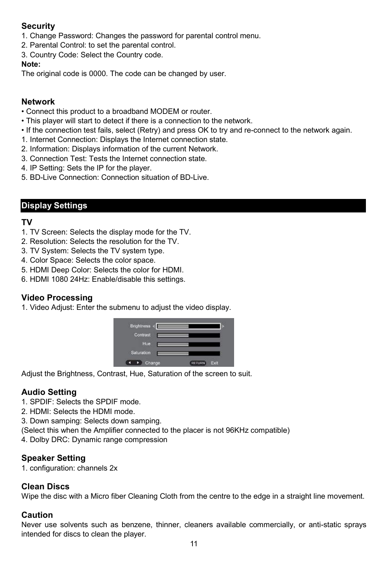# **Security**

1. Change Password: Changes the password for parental control menu.

- 2. Parental Control: to set the parental control.
- 3. Country Code: Select the Country code.

#### **Note:**

The original code is 0000. The code can be changed by user.

#### **Network**

- Connect this product to a broadband MODEM or router.
- This player will start to detect if there is a connection to the network.
- If the connection test fails, select (Retry) and press OK to try and re-connect to the network again.
- 1. Internet Connection: Displays the Internet connection state.
- 2. Information: Displays information of the current Network.
- 3. Connection Test: Tests the Internet connection state.
- 4. IP Setting: Sets the IP for the player.
- 5. BD-Live Connection: Connection situation of BD-Live.

# **Display Settings**

# **TV**

- 1. TV Screen: Selects the display mode for the TV.
- 2. Resolution: Selects the resolution for the TV.
- 3. TV System: Selects the TV system type.
- 4. Color Space: Selects the color space.
- 5. HDMI Deep Color: Selects the color for HDMI.
- 6. HDMI 1080 24Hz: Enable/disable this settings.

# **Video Processing**

1. Video Adjust: Enter the submenu to adjust the video display.



Adjust the Brightness, Contrast, Hue, Saturation of the screen to suit.

# **Audio Setting**

- 1. SPDIF: Selects the SPDIF mode.
- 2. HDMI: Selects the HDMI mode.
- 3. Down samping: Selects down samping.
- (Select this when the Amplifier connected to the placer is not 96KHz compatible)
- 4. Dolby DRC: Dynamic range compression

#### **Speaker Setting**

1. configuration: channels 2x

#### **Clean Discs**

Wipe the disc with a Micro fiber Cleaning Cloth from the centre to the edge in a straight line movement.

#### **Caution**

Never use solvents such as benzene, thinner, cleaners available commercially, or anti-static sprays intended for discs to clean the player.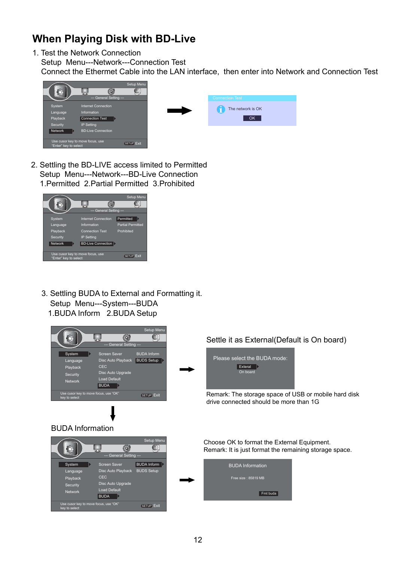# **When Playing Disk with BD-Live**

1. Test the Network Connection

Setup Menu---Network---Connection Test

Connect the Ethermet Cable into the LAN interface, then enter into Network and Connection Test





 Setup Menu---Network---BD-Live Connection 1.Permitted 2.Partial Permitted 3.Prohibited 2. Settling the BD-LIVE access limited to Permitted



 Setup Menu---System---BUDA 1.BUDA Inform 2.BUDA Setup 3. Settling BUDA to External and Formatting it.

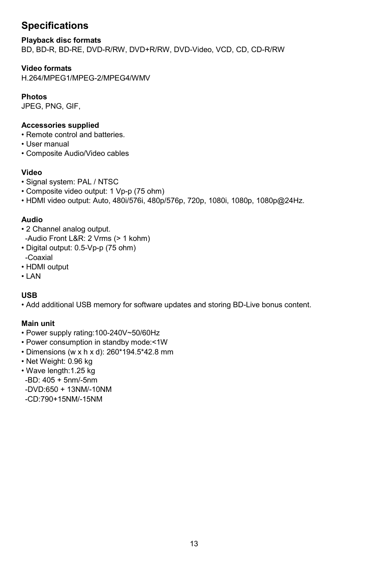# **Specifications**

#### **Playback disc formats**

BD, BD-R, BD-RE, DVD-R/RW, DVD+R/RW, DVD-Video, VCD, CD, CD-R/RW

#### **Video formats**

H.264/MPEG1/MPEG-2/MPEG4/WMV

#### **Photos**

JPEG, PNG, GIF,

#### **Accessories supplied**

- Remote control and batteries.
- User manual
- Composite Audio/Video cables

#### **Video**

- Signal system: PAL / NTSC
- Composite video output: 1 Vp-p (75 ohm)
- HDMI video output: Auto, 480i/576i, 480p/576p, 720p, 1080i, 1080p, 1080p@24Hz.

#### **Audio**

- 2 Channel analog output. -Audio Front L&R: 2 Vrms (> 1 kohm)
- Digital output: 0.5-Vp-p (75 ohm) -Coaxial
- HDMI output
- LAN

#### **USB**

• Add additional USB memory for software updates and storing BD-Live bonus content.

#### **Main unit**

- Power supply rating:100-240V~50/60Hz
- Power consumption in standby mode:<1W
- Dimensions (w x h x d): 260\*194.5\*42.8 mm
- Net Weight: 0.96 kg
- Wave length:1.25 kg
- -BD: 405 + 5nm/-5nm -DVD:650 + 13NM/-10NM
- -CD:790+15NM/-15NM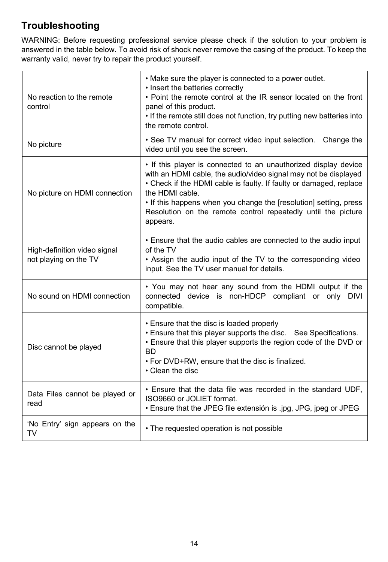# **Troubleshooting**

WARNING: Before requesting professional service please check if the solution to your problem is answered in the table below. To avoid risk of shock never remove the casing of the product. To keep the warranty valid, never try to repair the product yourself.

| No reaction to the remote<br>control                  | • Make sure the player is connected to a power outlet.<br>• Insert the batteries correctly<br>• Point the remote control at the IR sensor located on the front<br>panel of this product.<br>. If the remote still does not function, try putting new batteries into<br>the remote control.                                                                                    |
|-------------------------------------------------------|-------------------------------------------------------------------------------------------------------------------------------------------------------------------------------------------------------------------------------------------------------------------------------------------------------------------------------------------------------------------------------|
| No picture                                            | • See TV manual for correct video input selection. Change the<br>video until you see the screen.                                                                                                                                                                                                                                                                              |
| No picture on HDMI connection                         | • If this player is connected to an unauthorized display device<br>with an HDMI cable, the audio/video signal may not be displayed<br>• Check if the HDMI cable is faulty. If faulty or damaged, replace<br>the HDMI cable.<br>. If this happens when you change the [resolution] setting, press<br>Resolution on the remote control repeatedly until the picture<br>appears. |
| High-definition video signal<br>not playing on the TV | . Ensure that the audio cables are connected to the audio input<br>of the TV<br>• Assign the audio input of the TV to the corresponding video<br>input. See the TV user manual for details.                                                                                                                                                                                   |
| No sound on HDMI connection                           | • You may not hear any sound from the HDMI output if the<br>connected device is non-HDCP compliant or only DIVI<br>compatible.                                                                                                                                                                                                                                                |
| Disc cannot be played                                 | • Ensure that the disc is loaded properly<br>• Ensure that this player supports the disc. See Specifications.<br>. Ensure that this player supports the region code of the DVD or<br><b>BD</b><br>. For DVD+RW, ensure that the disc is finalized.<br>• Clean the disc                                                                                                        |
| Data Files cannot be played or<br>read                | . Ensure that the data file was recorded in the standard UDF,<br>ISO9660 or JOLIET format.<br>. Ensure that the JPEG file extensión is .jpg, JPG, jpeg or JPEG                                                                                                                                                                                                                |
| 'No Entry' sign appears on the<br>TV                  | • The requested operation is not possible                                                                                                                                                                                                                                                                                                                                     |